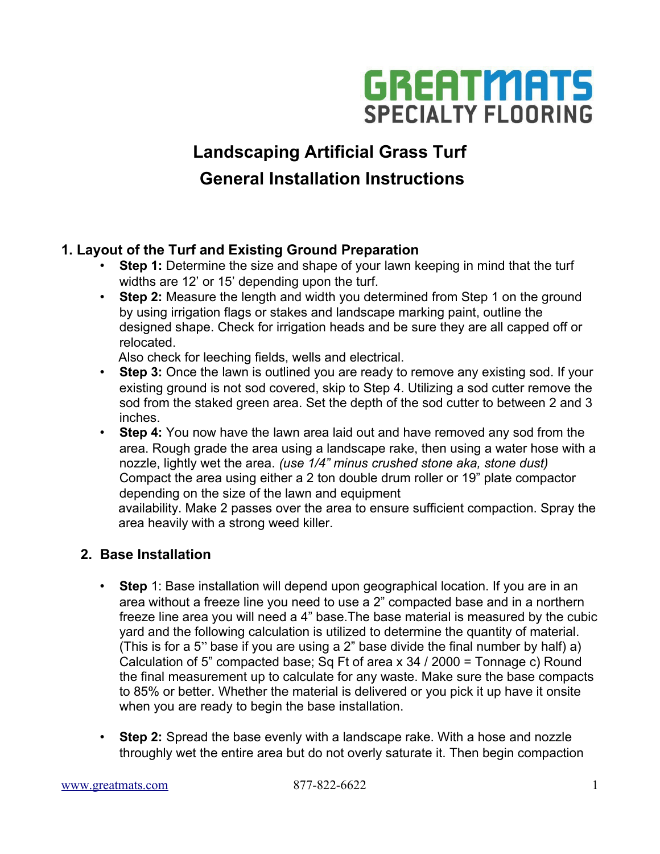

# **Landscaping Artificial Grass Turf General Installation Instructions**

## **1. Layout of the Turf and Existing Ground Preparation**

- **Step 1:** Determine the size and shape of your lawn keeping in mind that the turf widths are 12' or 15' depending upon the turf.
- **Step 2:** Measure the length and width you determined from Step 1 on the ground by using irrigation flags or stakes and landscape marking paint, outline the designed shape. Check for irrigation heads and be sure they are all capped off or relocated.

Also check for leeching fields, wells and electrical.

- **Step 3:** Once the lawn is outlined you are ready to remove any existing sod. If your existing ground is not sod covered, skip to Step 4. Utilizing a sod cutter remove the sod from the staked green area. Set the depth of the sod cutter to between 2 and 3 inches.
- **Step 4:** You now have the lawn area laid out and have removed any sod from the area. Rough grade the area using a landscape rake, then using a water hose with a nozzle, lightly wet the area. *(use 1/4" minus crushed stone aka, stone dust)*  Compact the area using either a 2 ton double drum roller or 19" plate compactor depending on the size of the lawn and equipment

 availability. Make 2 passes over the area to ensure sufficient compaction. Spray the area heavily with a strong weed killer.

## **2. Base Installation**

- **Step** 1: Base installation will depend upon geographical location. If you are in an area without a freeze line you need to use a 2" compacted base and in a northern freeze line area you will need a 4" base.The base material is measured by the cubic yard and the following calculation is utilized to determine the quantity of material. (This is for a 5" base if you are using a 2" base divide the final number by half) a) Calculation of 5" compacted base; Sq Ft of area x 34 / 2000 = Tonnage c) Round the final measurement up to calculate for any waste. Make sure the base compacts to 85% or better. Whether the material is delivered or you pick it up have it onsite when you are ready to begin the base installation.
- **Step 2:** Spread the base evenly with a landscape rake. With a hose and nozzle throughly wet the entire area but do not overly saturate it. Then begin compaction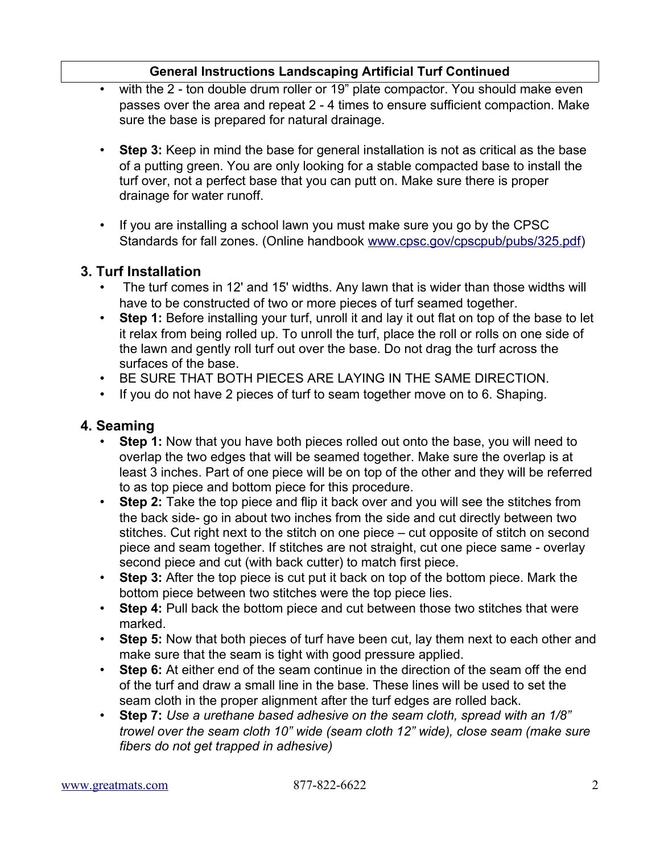## **General Instructions Landscaping Artificial Turf Continued**

- with the 2 ton double drum roller or 19" plate compactor. You should make even passes over the area and repeat 2 - 4 times to ensure sufficient compaction. Make sure the base is prepared for natural drainage.
- **Step 3:** Keep in mind the base for general installation is not as critical as the base of a putting green. You are only looking for a stable compacted base to install the turf over, not a perfect base that you can putt on. Make sure there is proper drainage for water runoff.
- If you are installing a school lawn you must make sure you go by the CPSC Standards for fall zones. (Online handbook [www.cpsc.gov/cpscpub/pubs/325.pdf\)](http://www.cpsc.gov/cpscpub/pubs/325.pdf)

## **3. Turf Installation**

- The turf comes in 12' and 15' widths. Any lawn that is wider than those widths will have to be constructed of two or more pieces of turf seamed together.
- **Step 1:** Before installing your turf, unroll it and lay it out flat on top of the base to let it relax from being rolled up. To unroll the turf, place the roll or rolls on one side of the lawn and gently roll turf out over the base. Do not drag the turf across the surfaces of the base.
- BE SURE THAT BOTH PIECES ARE LAYING IN THE SAME DIRECTION.
- If you do not have 2 pieces of turf to seam together move on to 6. Shaping.

## **4. Seaming**

- **Step 1:** Now that you have both pieces rolled out onto the base, you will need to overlap the two edges that will be seamed together. Make sure the overlap is at least 3 inches. Part of one piece will be on top of the other and they will be referred to as top piece and bottom piece for this procedure.
- **Step 2:** Take the top piece and flip it back over and you will see the stitches from the back side- go in about two inches from the side and cut directly between two stitches. Cut right next to the stitch on one piece – cut opposite of stitch on second piece and seam together. If stitches are not straight, cut one piece same - overlay second piece and cut (with back cutter) to match first piece.
- **Step 3:** After the top piece is cut put it back on top of the bottom piece. Mark the bottom piece between two stitches were the top piece lies.
- **Step 4:** Pull back the bottom piece and cut between those two stitches that were marked.
- **Step 5:** Now that both pieces of turf have been cut, lay them next to each other and make sure that the seam is tight with good pressure applied.
- **Step 6:** At either end of the seam continue in the direction of the seam off the end of the turf and draw a small line in the base. These lines will be used to set the seam cloth in the proper alignment after the turf edges are rolled back.
- **Step 7:** *Use a urethane based adhesive on the seam cloth, spread with an 1/8" trowel over the seam cloth 10" wide (seam cloth 12" wide), close seam (make sure fibers do not get trapped in adhesive)*